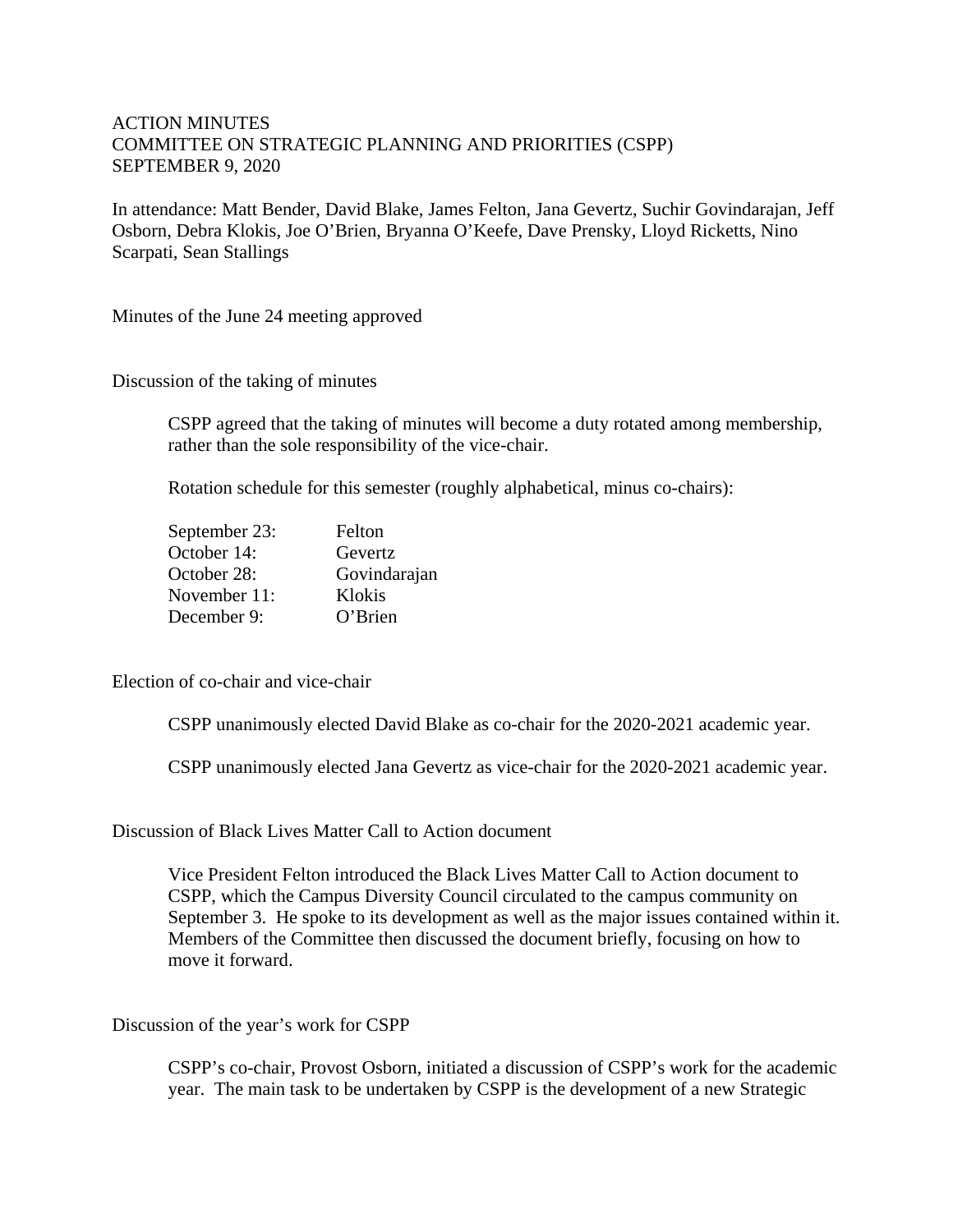## ACTION MINUTES COMMITTEE ON STRATEGIC PLANNING AND PRIORITIES (CSPP) SEPTEMBER 9, 2020

In attendance: Matt Bender, David Blake, James Felton, Jana Gevertz, Suchir Govindarajan, Jeff Osborn, Debra Klokis, Joe O'Brien, Bryanna O'Keefe, Dave Prensky, Lloyd Ricketts, Nino Scarpati, Sean Stallings

Minutes of the June 24 meeting approved

Discussion of the taking of minutes

CSPP agreed that the taking of minutes will become a duty rotated among membership, rather than the sole responsibility of the vice-chair.

Rotation schedule for this semester (roughly alphabetical, minus co-chairs):

| Felton       |
|--------------|
| Gevertz      |
| Govindarajan |
| Klokis       |
| O'Brien      |
|              |

Election of co-chair and vice-chair

CSPP unanimously elected David Blake as co-chair for the 2020-2021 academic year.

CSPP unanimously elected Jana Gevertz as vice-chair for the 2020-2021 academic year.

Discussion of Black Lives Matter Call to Action document

Vice President Felton introduced the Black Lives Matter Call to Action document to CSPP, which the Campus Diversity Council circulated to the campus community on September 3. He spoke to its development as well as the major issues contained within it. Members of the Committee then discussed the document briefly, focusing on how to move it forward.

Discussion of the year's work for CSPP

CSPP's co-chair, Provost Osborn, initiated a discussion of CSPP's work for the academic year. The main task to be undertaken by CSPP is the development of a new Strategic